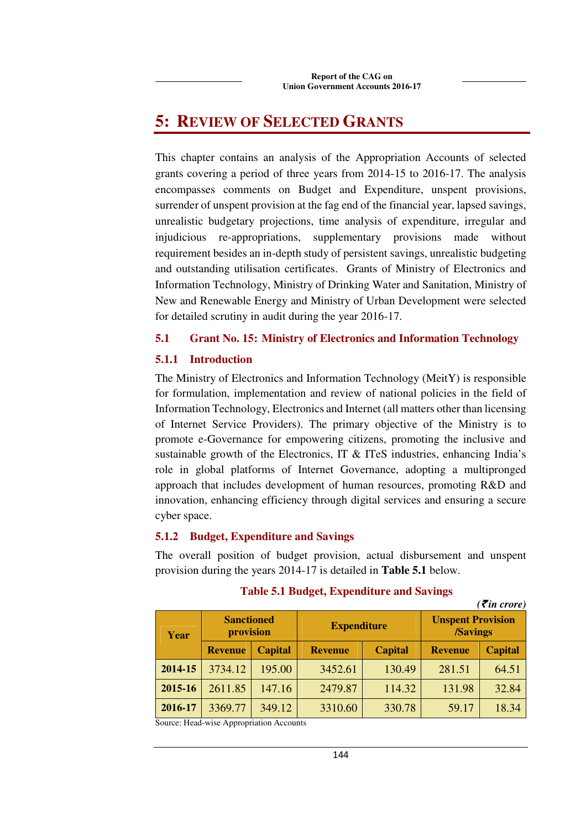# **5: REVIEW OF SELECTED GRANTS**

This chapter contains an analysis of the Appropriation Accounts of selected grants covering a period of three years from 2014-15 to 2016-17. The analysis encompasses comments on Budget and Expenditure, unspent provisions, surrender of unspent provision at the fag end of the financial year, lapsed savings, unrealistic budgetary projections, time analysis of expenditure, irregular and injudicious re-appropriations, supplementary provisions made without requirement besides an in-depth study of persistent savings, unrealistic budgeting and outstanding utilisation certificates. Grants of Ministry of Electronics and Information Technology, Ministry of Drinking Water and Sanitation, Ministry of New and Renewable Energy and Ministry of Urban Development were selected for detailed scrutiny in audit during the year 2016-17.

### **5.1 Grant No. 15: Ministry of Electronics and Information Technology**

### **5.1.1 Introduction**

The Ministry of Electronics and Information Technology (MeitY) is responsible for formulation, implementation and review of national policies in the field of Information Technology, Electronics and Internet (all matters other than licensing of Internet Service Providers). The primary objective of the Ministry is to promote e-Governance for empowering citizens, promoting the inclusive and sustainable growth of the Electronics, IT & ITeS industries, enhancing India's role in global platforms of Internet Governance, adopting a multipronged approach that includes development of human resources, promoting R&D and innovation, enhancing efficiency through digital services and ensuring a secure cyber space.

### **5.1.2 Budget, Expenditure and Savings**

The overall position of budget provision, actual disbursement and unspent provision during the years 2014-17 is detailed in **Table 5.1** below.

|         |                                |                    |                |                |                                             | $( \bar{\tau}$ in crore) |
|---------|--------------------------------|--------------------|----------------|----------------|---------------------------------------------|--------------------------|
| Year    | <b>Sanctioned</b><br>provision | <b>Expenditure</b> |                |                | <b>Unspent Provision</b><br><b>/Savings</b> |                          |
|         | <b>Revenue</b>                 | <b>Capital</b>     | <b>Revenue</b> | <b>Capital</b> | <b>Revenue</b>                              | <b>Capital</b>           |
| 2014-15 | 3734.12                        | 195.00             | 3452.61        | 130.49         | 281.51                                      | 64.51                    |
| 2015-16 | 2611.85                        | 147.16             | 2479.87        | 114.32         | 131.98                                      | 32.84                    |
| 2016-17 | 3369.77                        | 349.12             | 3310.60        | 330.78         | 59.17                                       | 18.34                    |

### **Table 5.1 Budget, Expenditure and Savings**

Source: Head-wise Appropriation Accounts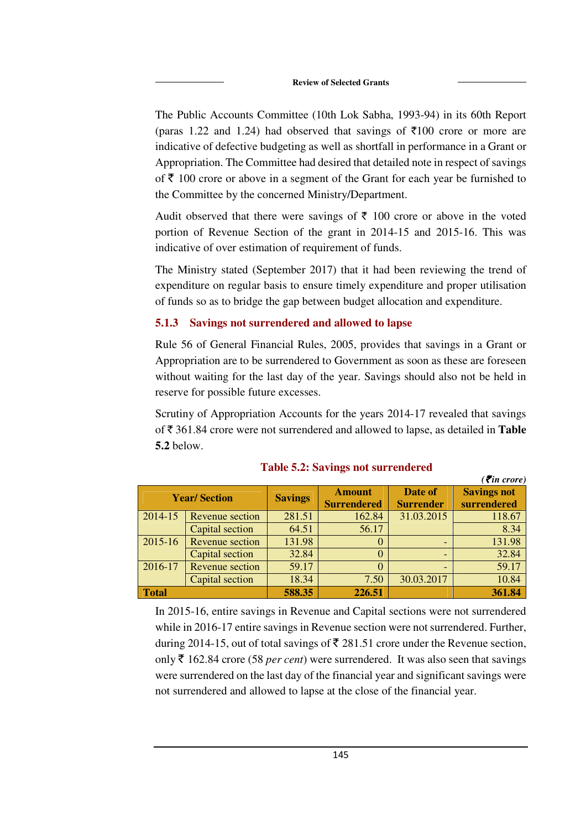The Public Accounts Committee (10th Lok Sabha, 1993-94) in its 60th Report (paras 1.22 and 1.24) had observed that savings of  $\bar{\tau}100$  crore or more are indicative of defective budgeting as well as shortfall in performance in a Grant or Appropriation. The Committee had desired that detailed note in respect of savings of  $\bar{\tau}$  100 crore or above in a segment of the Grant for each year be furnished to the Committee by the concerned Ministry/Department.

Audit observed that there were savings of  $\bar{\tau}$  100 crore or above in the voted portion of Revenue Section of the grant in 2014-15 and 2015-16. This was indicative of over estimation of requirement of funds.

The Ministry stated (September 2017) that it had been reviewing the trend of expenditure on regular basis to ensure timely expenditure and proper utilisation of funds so as to bridge the gap between budget allocation and expenditure.

#### **5.1.3 Savings not surrendered and allowed to lapse**

Rule 56 of General Financial Rules, 2005, provides that savings in a Grant or Appropriation are to be surrendered to Government as soon as these are foreseen without waiting for the last day of the year. Savings should also not be held in reserve for possible future excesses.

Scrutiny of Appropriation Accounts for the years 2014-17 revealed that savings of ` 361.84 crore were not surrendered and allowed to lapse, as detailed in **Table 5.2** below.

|                     |                        |                |                                     |                             | $( \bar{\tau}$ in crore)          |
|---------------------|------------------------|----------------|-------------------------------------|-----------------------------|-----------------------------------|
| <b>Year/Section</b> |                        | <b>Savings</b> | <b>Amount</b><br><b>Surrendered</b> | Date of<br><b>Surrender</b> | <b>Savings not</b><br>surrendered |
| 2014-15             | Revenue section        | 281.51         | 162.84                              | 31.03.2015                  | 118.67                            |
|                     | Capital section        | 64.51          | 56.17                               |                             | 8.34                              |
| 2015-16             | <b>Revenue</b> section | 131.98         | $\theta$                            |                             | 131.98                            |
|                     | Capital section        | 32.84          | $\theta$                            |                             | 32.84                             |
| 2016-17             | Revenue section        | 59.17          | $\Omega$                            |                             | 59.17                             |
|                     | Capital section        | 18.34          | 7.50                                | 30.03.2017                  | 10.84                             |
| <b>Total</b>        |                        | 588.35         | 226.51                              |                             | 361.84                            |

#### **Table 5.2: Savings not surrendered**

In 2015-16, entire savings in Revenue and Capital sections were not surrendered while in 2016-17 entire savings in Revenue section were not surrendered. Further, during 2014-15, out of total savings of  $\bar{\tau}$  281.51 crore under the Revenue section, only  $\bar{\tau}$  162.84 crore (58 *per cent*) were surrendered. It was also seen that savings were surrendered on the last day of the financial year and significant savings were not surrendered and allowed to lapse at the close of the financial year.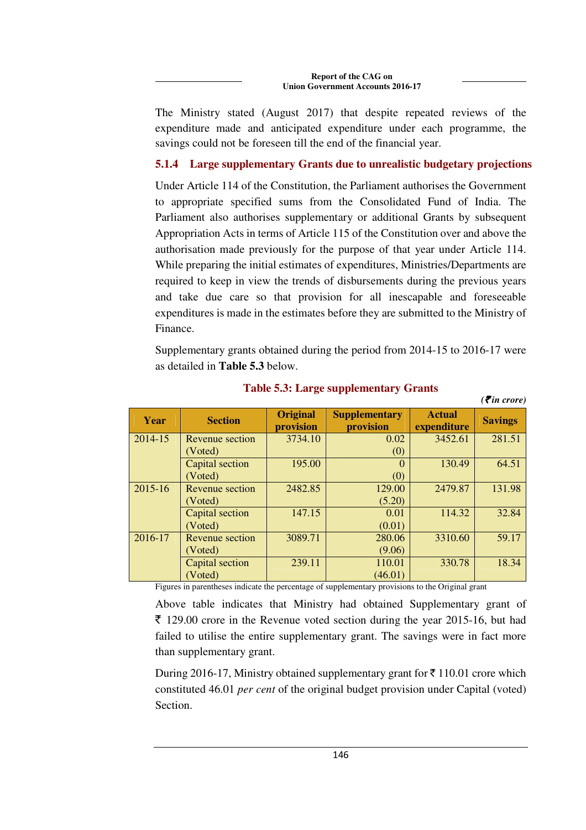The Ministry stated (August 2017) that despite repeated reviews of the expenditure made and anticipated expenditure under each programme, the savings could not be foreseen till the end of the financial year.

## **5.1.4 Large supplementary Grants due to unrealistic budgetary projections**

Under Article 114 of the Constitution, the Parliament authorises the Government to appropriate specified sums from the Consolidated Fund of India. The Parliament also authorises supplementary or additional Grants by subsequent Appropriation Acts in terms of Article 115 of the Constitution over and above the authorisation made previously for the purpose of that year under Article 114. While preparing the initial estimates of expenditures, Ministries/Departments are required to keep in view the trends of disbursements during the previous years and take due care so that provision for all inescapable and foreseeable expenditures is made in the estimates before they are submitted to the Ministry of Finance.

Supplementary grants obtained during the period from 2014-15 to 2016-17 were as detailed in **Table 5.3** below.

| Year    | <b>Section</b>         | <b>Original</b><br>provision | <b>Supplementary</b><br>provision | <b>Actual</b><br>expenditure | <b>Savings</b> |
|---------|------------------------|------------------------------|-----------------------------------|------------------------------|----------------|
| 2014-15 | Revenue section        | 3734.10                      | 0.02                              | 3452.61                      | 281.51         |
|         | (Voted)                |                              | (0)                               |                              |                |
|         | Capital section        | 195.00                       | 0                                 | 130.49                       | 64.51          |
|         | (Voted)                |                              | (0)                               |                              |                |
| 2015-16 | Revenue section        | 2482.85                      | 129.00                            | 2479.87                      | 131.98         |
|         | (Voted)                |                              | (5.20)                            |                              |                |
|         | Capital section        | 147.15                       | 0.01                              | 114.32                       | 32.84          |
|         | (Voted)                |                              | (0.01)                            |                              |                |
| 2016-17 | <b>Revenue section</b> | 3089.71                      | 280.06                            | 3310.60                      | 59.17          |
|         | (Voted)                |                              | (9.06)                            |                              |                |
|         | Capital section        | 239.11                       | 110.01                            | 330.78                       | 18.34          |
|         | (Voted)                |                              | (46.01)                           |                              |                |

### **Table 5.3: Large supplementary Grants**

*(*` *in crore)* 

Figures in parentheses indicate the percentage of supplementary provisions to the Original grant

Above table indicates that Ministry had obtained Supplementary grant of  $\bar{\xi}$  129.00 crore in the Revenue voted section during the year 2015-16, but had failed to utilise the entire supplementary grant. The savings were in fact more than supplementary grant.

During 2016-17, Ministry obtained supplementary grant for  $\bar{\tau}$  110.01 crore which constituted 46.01 *per cent* of the original budget provision under Capital (voted) Section.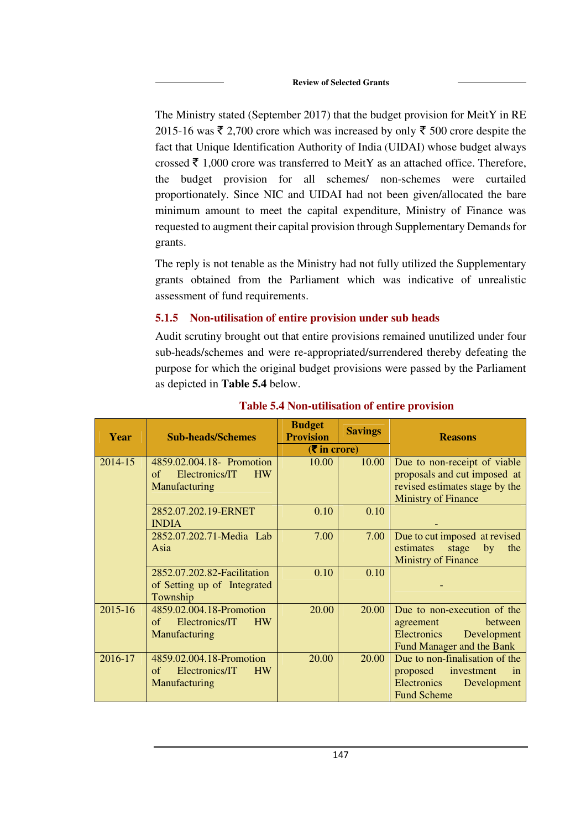The Ministry stated (September 2017) that the budget provision for MeitY in RE 2015-16 was  $\bar{\tau}$  2,700 crore which was increased by only  $\bar{\tau}$  500 crore despite the fact that Unique Identification Authority of India (UIDAI) whose budget always crossed  $\bar{\tau}$  1,000 crore was transferred to MeitY as an attached office. Therefore, the budget provision for all schemes/ non-schemes were curtailed proportionately. Since NIC and UIDAI had not been given/allocated the bare minimum amount to meet the capital expenditure, Ministry of Finance was requested to augment their capital provision through Supplementary Demands for grants.

The reply is not tenable as the Ministry had not fully utilized the Supplementary grants obtained from the Parliament which was indicative of unrealistic assessment of fund requirements.

## **5.1.5 Non-utilisation of entire provision under sub heads**

Audit scrutiny brought out that entire provisions remained unutilized under four sub-heads/schemes and were re-appropriated/surrendered thereby defeating the purpose for which the original budget provisions were passed by the Parliament as depicted in **Table 5.4** below.

| Year        | <b>Sub-heads/Schemes</b>          | <b>Budget</b><br><b>Provision</b> | <b>Savings</b> | <b>Reasons</b>                  |
|-------------|-----------------------------------|-----------------------------------|----------------|---------------------------------|
|             |                                   | $(5 \infty)$                      |                |                                 |
| 2014-15     | 4859.02.004.18- Promotion         | 10.00                             | 10.00          | Due to non-receipt of viable    |
|             | Electronics/IT<br><b>HW</b><br>of |                                   |                | proposals and cut imposed at    |
|             | Manufacturing                     |                                   |                | revised estimates stage by the  |
|             |                                   |                                   |                | <b>Ministry of Finance</b>      |
|             | 2852.07.202.19-ERNET              | 0.10                              | 0.10           |                                 |
|             | <b>INDIA</b>                      |                                   |                |                                 |
|             | 2852.07.202.71-Media Lab          | 7.00                              | 7.00           | Due to cut imposed at revised   |
|             | Asia                              |                                   |                | estimates<br>by<br>stage<br>the |
|             |                                   |                                   |                | <b>Ministry of Finance</b>      |
|             | 2852.07.202.82-Facilitation       | 0.10                              | 0.10           |                                 |
|             | of Setting up of Integrated       |                                   |                |                                 |
|             | Township                          |                                   |                |                                 |
| $2015 - 16$ | 4859.02.004.18-Promotion          | 20.00                             | 20.00          | Due to non-execution of the     |
|             | Electronics/IT<br><b>HW</b><br>of |                                   |                | between<br>agreement            |
|             | Manufacturing                     |                                   |                | Electronics<br>Development      |
|             |                                   |                                   |                | Fund Manager and the Bank       |
| 2016-17     | 4859.02.004.18-Promotion          | 20.00                             | 20.00          | Due to non-finalisation of the  |
|             | Electronics/IT<br><b>HW</b><br>of |                                   |                | investment<br>proposed<br>in    |
|             | Manufacturing                     |                                   |                | Electronics<br>Development      |
|             |                                   |                                   |                | <b>Fund Scheme</b>              |

## **Table 5.4 Non-utilisation of entire provision**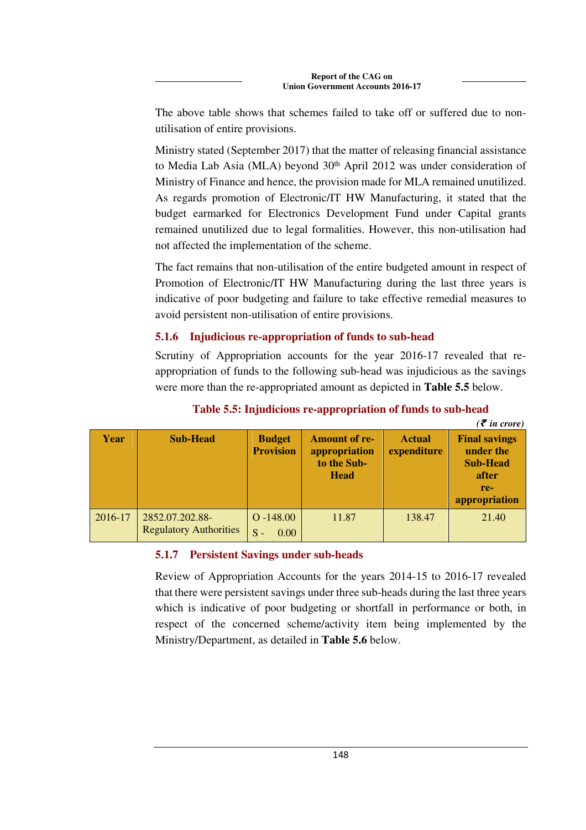The above table shows that schemes failed to take off or suffered due to nonutilisation of entire provisions.

Ministry stated (September 2017) that the matter of releasing financial assistance to Media Lab Asia (MLA) beyond  $30<sup>th</sup>$  April 2012 was under consideration of Ministry of Finance and hence, the provision made for MLA remained unutilized. As regards promotion of Electronic/IT HW Manufacturing, it stated that the budget earmarked for Electronics Development Fund under Capital grants remained unutilized due to legal formalities. However, this non-utilisation had not affected the implementation of the scheme.

The fact remains that non-utilisation of the entire budgeted amount in respect of Promotion of Electronic/IT HW Manufacturing during the last three years is indicative of poor budgeting and failure to take effective remedial measures to avoid persistent non-utilisation of entire provisions.

## **5.1.6 Injudicious re-appropriation of funds to sub-head**

Scrutiny of Appropriation accounts for the year 2016-17 revealed that reappropriation of funds to the following sub-head was injudicious as the savings were more than the re-appropriated amount as depicted in **Table 5.5** below.

|         |                                                  |                                   |                                                                     |                              | $\bar{\mathcal{F}}$ in crore)                                                         |
|---------|--------------------------------------------------|-----------------------------------|---------------------------------------------------------------------|------------------------------|---------------------------------------------------------------------------------------|
| Year    | <b>Sub-Head</b>                                  | <b>Budget</b><br><b>Provision</b> | <b>Amount of re-</b><br>appropriation<br>to the Sub-<br><b>Head</b> | <b>Actual</b><br>expenditure | <b>Final savings</b><br>under the<br><b>Sub-Head</b><br>after<br>re-<br>appropriation |
| 2016-17 | 2852.07.202.88-<br><b>Regulatory Authorities</b> | $O - 148.00$<br>$S -$<br>0.00     | 11.87                                                               | 138.47                       | 21.40                                                                                 |

**Table 5.5: Injudicious re-appropriation of funds to sub-head**

## **5.1.7 Persistent Savings under sub-heads**

Review of Appropriation Accounts for the years 2014-15 to 2016-17 revealed that there were persistent savings under three sub-heads during the last three years which is indicative of poor budgeting or shortfall in performance or both, in respect of the concerned scheme/activity item being implemented by the Ministry/Department, as detailed in **Table 5.6** below.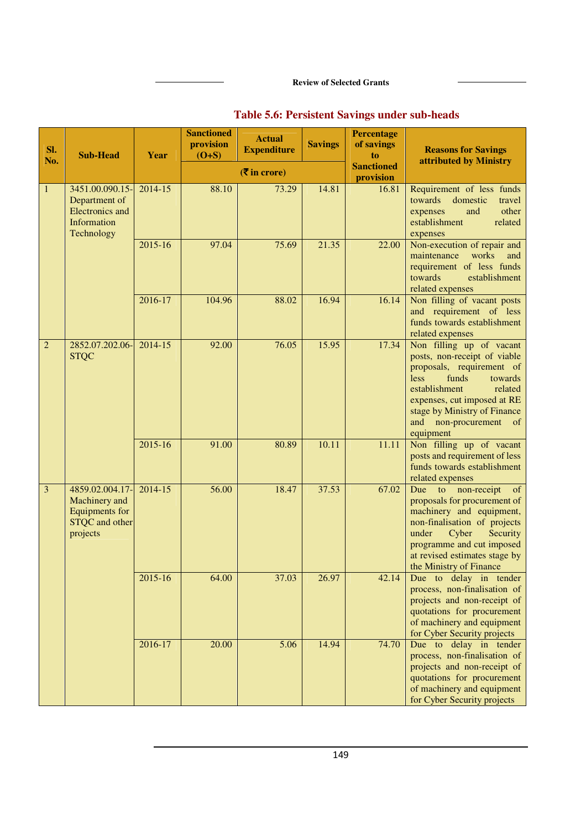**Review of Selected Grants**

| SI.<br>No.     | <b>Sub-Head</b>                                                                         | Year    | <b>Sanctioned</b><br>provision<br>$(O+S)$ | <b>Actual</b><br><b>Expenditure</b> | <b>Savings</b> | <b>Percentage</b><br>of savings<br>to | <b>Reasons for Savings</b><br>attributed by Ministry                                                                                                                                                                                                           |
|----------------|-----------------------------------------------------------------------------------------|---------|-------------------------------------------|-------------------------------------|----------------|---------------------------------------|----------------------------------------------------------------------------------------------------------------------------------------------------------------------------------------------------------------------------------------------------------------|
|                |                                                                                         |         |                                           | $($ ₹ in crore)                     |                | <b>Sanctioned</b><br>provision        |                                                                                                                                                                                                                                                                |
| $\mathbf{1}$   | 3451.00.090.15-<br>Department of<br><b>Electronics</b> and<br>Information<br>Technology | 2014-15 | 88.10                                     | 73.29                               | 14.81          | 16.81                                 | Requirement of less funds<br>domestic<br>towards<br>travel<br>other<br>expenses<br>and<br>establishment<br>related<br>expenses                                                                                                                                 |
|                |                                                                                         | 2015-16 | 97.04                                     | 75.69                               | 21.35          | 22.00                                 | Non-execution of repair and<br>maintenance<br>works<br>and<br>requirement of less funds<br>towards<br>establishment<br>related expenses                                                                                                                        |
|                |                                                                                         | 2016-17 | 104.96                                    | 88.02                               | 16.94          | 16.14                                 | Non filling of vacant posts<br>and requirement of less<br>funds towards establishment<br>related expenses                                                                                                                                                      |
| $\overline{2}$ | 2852.07.202.06-<br><b>STQC</b>                                                          | 2014-15 | 92.00                                     | 76.05                               | 15.95          | 17.34                                 | Non filling up of vacant<br>posts, non-receipt of viable<br>proposals, requirement of<br>funds<br>less<br>towards<br>establishment<br>related<br>expenses, cut imposed at RE<br>stage by Ministry of Finance<br>and non-procurement<br>$\circ$ of<br>equipment |
|                |                                                                                         | 2015-16 | 91.00                                     | 80.89                               | 10.11          | 11.11                                 | Non filling up of vacant<br>posts and requirement of less<br>funds towards establishment<br>related expenses                                                                                                                                                   |
| $\overline{3}$ | 4859.02.004.17<br>Machinery and<br><b>Equipments</b> for<br>STQC and other<br>projects  | 2014-15 | 56.00                                     | 18.47                               | 37.53          | 67.02                                 | Due to non-receipt<br>of<br>proposals for procurement of<br>machinery and equipment,<br>non-finalisation of projects<br>under<br>Cyber<br>Security<br>programme and cut imposed<br>at revised estimates stage by<br>the Ministry of Finance                    |
|                |                                                                                         | 2015-16 | 64.00                                     | 37.03                               | 26.97          | 42.14                                 | Due to delay in tender<br>process, non-finalisation of<br>projects and non-receipt of<br>quotations for procurement<br>of machinery and equipment<br>for Cyber Security projects                                                                               |
|                |                                                                                         | 2016-17 | 20.00                                     | 5.06                                | 14.94          | 74.70                                 | Due to delay in tender<br>process, non-finalisation of<br>projects and non-receipt of<br>quotations for procurement<br>of machinery and equipment<br>for Cyber Security projects                                                                               |

## **Table 5.6: Persistent Savings under sub-heads**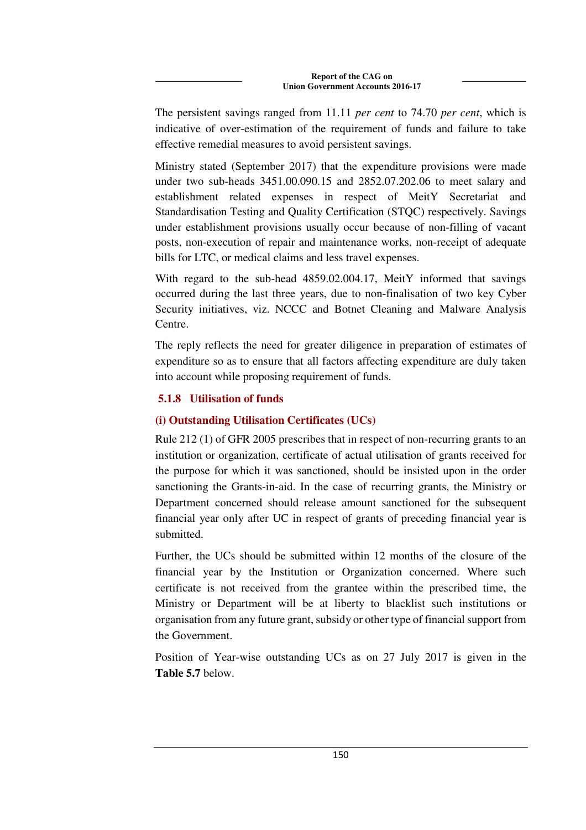The persistent savings ranged from 11.11 *per cent* to 74.70 *per cent*, which is indicative of over-estimation of the requirement of funds and failure to take effective remedial measures to avoid persistent savings.

Ministry stated (September 2017) that the expenditure provisions were made under two sub-heads 3451.00.090.15 and 2852.07.202.06 to meet salary and establishment related expenses in respect of MeitY Secretariat and Standardisation Testing and Quality Certification (STQC) respectively. Savings under establishment provisions usually occur because of non-filling of vacant posts, non-execution of repair and maintenance works, non-receipt of adequate bills for LTC, or medical claims and less travel expenses.

With regard to the sub-head 4859.02.004.17, MeitY informed that savings occurred during the last three years, due to non-finalisation of two key Cyber Security initiatives, viz. NCCC and Botnet Cleaning and Malware Analysis Centre.

The reply reflects the need for greater diligence in preparation of estimates of expenditure so as to ensure that all factors affecting expenditure are duly taken into account while proposing requirement of funds.

## **5.1.8 Utilisation of funds**

## **(i) Outstanding Utilisation Certificates (UCs)**

Rule 212 (1) of GFR 2005 prescribes that in respect of non-recurring grants to an institution or organization, certificate of actual utilisation of grants received for the purpose for which it was sanctioned, should be insisted upon in the order sanctioning the Grants-in-aid. In the case of recurring grants, the Ministry or Department concerned should release amount sanctioned for the subsequent financial year only after UC in respect of grants of preceding financial year is submitted.

Further, the UCs should be submitted within 12 months of the closure of the financial year by the Institution or Organization concerned. Where such certificate is not received from the grantee within the prescribed time, the Ministry or Department will be at liberty to blacklist such institutions or organisation from any future grant, subsidy or other type of financial support from the Government.

Position of Year-wise outstanding UCs as on 27 July 2017 is given in the **Table 5.7** below.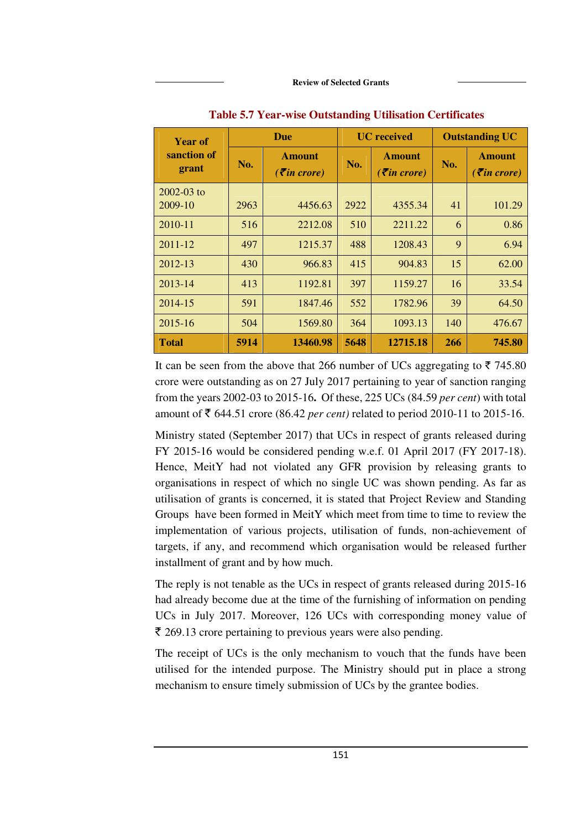**Review of Selected Grants**

| <b>Year of</b>            |      | <b>Due</b>                                      |      | <b>UC</b> received                              | <b>Outstanding UC</b> |                                                 |
|---------------------------|------|-------------------------------------------------|------|-------------------------------------------------|-----------------------|-------------------------------------------------|
| sanction of<br>grant      | No.  | <b>Amount</b><br>$( \bar{\mathbf{z}}$ in crore) | No.  | <b>Amount</b><br>$( \bar{\mathbf{z}}$ in crore) | No.                   | <b>Amount</b><br>$( \bar{\mathbf{z}}$ in crore) |
| $2002 - 03$ to<br>2009-10 | 2963 | 4456.63                                         | 2922 | 4355.34                                         | 41                    | 101.29                                          |
| 2010-11                   | 516  | 2212.08                                         | 510  | 2211.22                                         | 6                     | 0.86                                            |
| 2011-12                   | 497  | 1215.37                                         | 488  | 1208.43                                         | 9                     | 6.94                                            |
| 2012-13                   | 430  | 966.83                                          | 415  | 904.83                                          | 15                    | 62.00                                           |
| 2013-14                   | 413  | 1192.81                                         | 397  | 1159.27                                         | 16                    | 33.54                                           |
| 2014-15                   | 591  | 1847.46                                         | 552  | 1782.96                                         | 39                    | 64.50                                           |
| 2015-16                   | 504  | 1569.80                                         | 364  | 1093.13                                         | 140                   | 476.67                                          |
| <b>Total</b>              | 5914 | 13460.98                                        | 5648 | 12715.18                                        | 266                   | 745.80                                          |

#### **Table 5.7 Year-wise Outstanding Utilisation Certificates**

It can be seen from the above that 266 number of UCs aggregating to  $\overline{z}$  745.80 crore were outstanding as on 27 July 2017 pertaining to year of sanction ranging from the years 2002-03 to 2015-16**.** Of these, 225 UCs (84.59 *per cent*) with total amount of  $\bar{z}$  644.51 crore (86.42 *per cent*) related to period 2010-11 to 2015-16.

Ministry stated (September 2017) that UCs in respect of grants released during FY 2015-16 would be considered pending w.e.f. 01 April 2017 (FY 2017-18). Hence, MeitY had not violated any GFR provision by releasing grants to organisations in respect of which no single UC was shown pending. As far as utilisation of grants is concerned, it is stated that Project Review and Standing Groups have been formed in MeitY which meet from time to time to review the implementation of various projects, utilisation of funds, non-achievement of targets, if any, and recommend which organisation would be released further installment of grant and by how much.

The reply is not tenable as the UCs in respect of grants released during 2015-16 had already become due at the time of the furnishing of information on pending UCs in July 2017. Moreover, 126 UCs with corresponding money value of  $\bar{\tau}$  269.13 crore pertaining to previous years were also pending.

The receipt of UCs is the only mechanism to vouch that the funds have been utilised for the intended purpose. The Ministry should put in place a strong mechanism to ensure timely submission of UCs by the grantee bodies.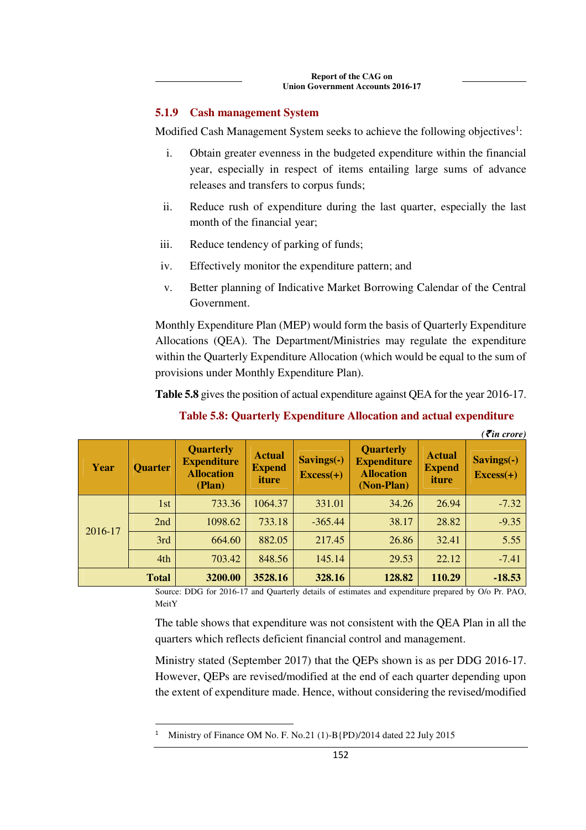#### **5.1.9 Cash management System**

Modified Cash Management System seeks to achieve the following objectives<sup>1</sup>:

- i. Obtain greater evenness in the budgeted expenditure within the financial year, especially in respect of items entailing large sums of advance releases and transfers to corpus funds;
- ii. Reduce rush of expenditure during the last quarter, especially the last month of the financial year;
- iii. Reduce tendency of parking of funds;
- iv. Effectively monitor the expenditure pattern; and
- v. Better planning of Indicative Market Borrowing Calendar of the Central Government.

Monthly Expenditure Plan (MEP) would form the basis of Quarterly Expenditure Allocations (QEA). The Department/Ministries may regulate the expenditure within the Quarterly Expenditure Allocation (which would be equal to the sum of provisions under Monthly Expenditure Plan).

**Table 5.8** gives the position of actual expenditure against QEA for the year 2016-17.

**Table 5.8: Quarterly Expenditure Allocation and actual expenditure** 

|         |                |                                                                       |                                         |                             |                                                                           |                                         | $( \bar{\mathbf{z}}$ in crore) |
|---------|----------------|-----------------------------------------------------------------------|-----------------------------------------|-----------------------------|---------------------------------------------------------------------------|-----------------------------------------|--------------------------------|
| Year    | <b>Quarter</b> | <b>Quarterly</b><br><b>Expenditure</b><br><b>Allocation</b><br>(Plan) | <b>Actual</b><br><b>Expend</b><br>iture | $Savings(-)$<br>$Excess(+)$ | <b>Quarterly</b><br><b>Expenditure</b><br><b>Allocation</b><br>(Non-Plan) | <b>Actual</b><br><b>Expend</b><br>iture | $Savings(-)$<br>$Excess(+)$    |
|         | 1st            | 733.36                                                                | 1064.37                                 | 331.01                      | 34.26                                                                     | 26.94                                   | $-7.32$                        |
| 2016-17 | 2nd            | 1098.62                                                               | 733.18                                  | $-365.44$                   | 38.17                                                                     | 28.82                                   | $-9.35$                        |
|         | 3rd            | 664.60                                                                | 882.05                                  | 217.45                      | 26.86                                                                     | 32.41                                   | 5.55                           |
|         | 4th            | 703.42                                                                | 848.56                                  | 145.14                      | 29.53                                                                     | 22.12                                   | $-7.41$                        |
|         | <b>Total</b>   | 3200.00                                                               | 3528.16                                 | 328.16                      | 128.82                                                                    | 110.29                                  | $-18.53$                       |

Source: DDG for 2016-17 and Quarterly details of estimates and expenditure prepared by O/o Pr. PAO, MeitY

The table shows that expenditure was not consistent with the QEA Plan in all the quarters which reflects deficient financial control and management.

Ministry stated (September 2017) that the QEPs shown is as per DDG 2016-17. However, QEPs are revised/modified at the end of each quarter depending upon the extent of expenditure made. Hence, without considering the revised/modified

 $\overline{a}$ 

<sup>1</sup> Ministry of Finance OM No. F. No.21 (1)-B{PD)/2014 dated 22 July 2015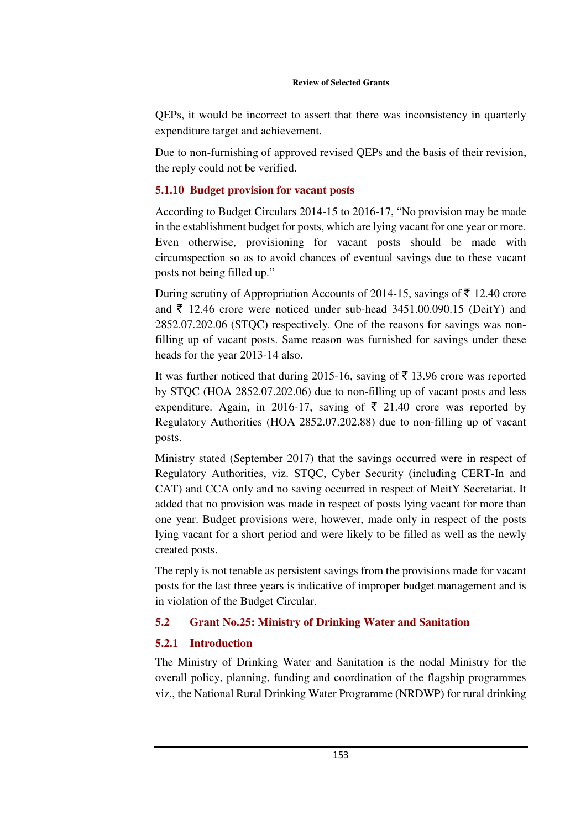QEPs, it would be incorrect to assert that there was inconsistency in quarterly expenditure target and achievement.

Due to non-furnishing of approved revised QEPs and the basis of their revision, the reply could not be verified.

#### **5.1.10 Budget provision for vacant posts**

According to Budget Circulars 2014-15 to 2016-17, "No provision may be made in the establishment budget for posts, which are lying vacant for one year or more. Even otherwise, provisioning for vacant posts should be made with circumspection so as to avoid chances of eventual savings due to these vacant posts not being filled up."

During scrutiny of Appropriation Accounts of 2014-15, savings of  $\bar{\tau}$  12.40 crore and  $\bar{\xi}$  12.46 crore were noticed under sub-head 3451.00.090.15 (DeitY) and 2852.07.202.06 (STQC) respectively. One of the reasons for savings was nonfilling up of vacant posts. Same reason was furnished for savings under these heads for the year 2013-14 also.

It was further noticed that during 2015-16, saving of  $\bar{\tau}$  13.96 crore was reported by STQC (HOA 2852.07.202.06) due to non-filling up of vacant posts and less expenditure. Again, in 2016-17, saving of  $\bar{\tau}$  21.40 crore was reported by Regulatory Authorities (HOA 2852.07.202.88) due to non-filling up of vacant posts.

Ministry stated (September 2017) that the savings occurred were in respect of Regulatory Authorities, viz. STQC, Cyber Security (including CERT-In and CAT) and CCA only and no saving occurred in respect of MeitY Secretariat. It added that no provision was made in respect of posts lying vacant for more than one year. Budget provisions were, however, made only in respect of the posts lying vacant for a short period and were likely to be filled as well as the newly created posts.

The reply is not tenable as persistent savings from the provisions made for vacant posts for the last three years is indicative of improper budget management and is in violation of the Budget Circular.

### **5.2 Grant No.25: Ministry of Drinking Water and Sanitation**

### **5.2.1 Introduction**

The Ministry of Drinking Water and Sanitation is the nodal Ministry for the overall policy, planning, funding and coordination of the flagship programmes viz., the National Rural Drinking Water Programme (NRDWP) for rural drinking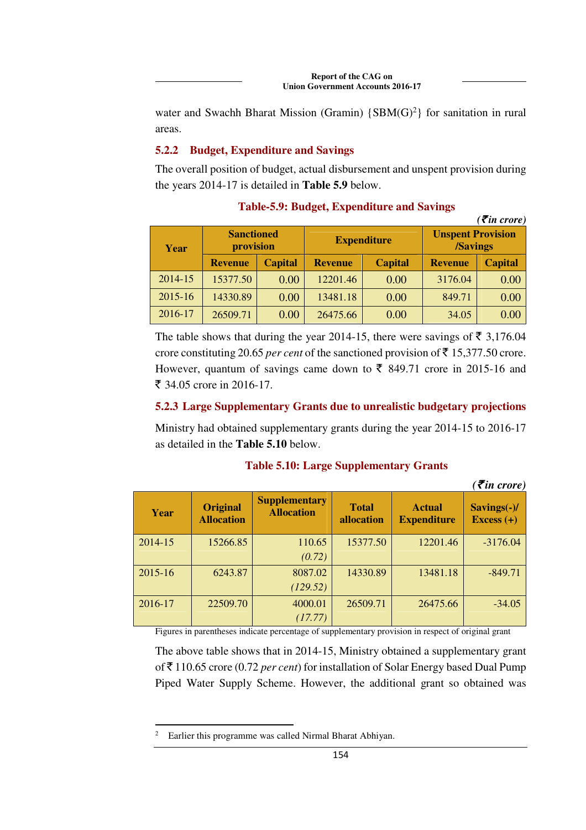water and Swachh Bharat Mission (Gramin)  $\{SBM(G)^2\}$  for sanitation in rural areas.

## **5.2.2 Budget, Expenditure and Savings**

The overall position of budget, actual disbursement and unspent provision during the years 2014-17 is detailed in **Table 5.9** below.

|                                        |                |                |                    |                                             |                | $( \bar{\mathbf{\mathcal{F}}}$ in crore) |
|----------------------------------------|----------------|----------------|--------------------|---------------------------------------------|----------------|------------------------------------------|
| <b>Sanctioned</b><br>provision<br>Year |                |                | <b>Expenditure</b> | <b>Unspent Provision</b><br><b>/Savings</b> |                |                                          |
|                                        | <b>Revenue</b> | <b>Capital</b> | <b>Revenue</b>     | <b>Capital</b>                              | <b>Revenue</b> | <b>Capital</b>                           |
| 2014-15                                | 15377.50       | 0.00           | 12201.46           | 0.00                                        | 3176.04        | 0.00                                     |
| $2015 - 16$                            | 14330.89       | 0.00           | 13481.18           | 0.00                                        | 849.71         | 0.00                                     |
| 2016-17                                | 26509.71       | 0.00           | 26475.66           | 0.00                                        | 34.05          | 0.00                                     |

**Table-5.9: Budget, Expenditure and Savings** 

The table shows that during the year 2014-15, there were savings of  $\bar{\tau}$  3,176.04 crore constituting 20.65 *per cent* of the sanctioned provision of  $\bar{\tau}$  15,377.50 crore. However, quantum of savings came down to  $\bar{\xi}$  849.71 crore in 2015-16 and ₹ 34.05 crore in 2016-17.

### **5.2.3 Large Supplementary Grants due to unrealistic budgetary projections**

Ministry had obtained supplementary grants during the year 2014-15 to 2016-17 as detailed in the **Table 5.10** below.

### **Table 5.10: Large Supplementary Grants**

 $( \bar{\mathbf{z}}$  *in crore*)

| Year        | <b>Original</b><br><b>Allocation</b> | <b>Supplementary</b><br><b>Allocation</b> | <b>Total</b><br>allocation | <b>Actual</b><br><b>Expenditure</b> | Savings(-)/<br>Excess $(+)$ |
|-------------|--------------------------------------|-------------------------------------------|----------------------------|-------------------------------------|-----------------------------|
| 2014-15     | 15266.85                             | 110.65<br>(0.72)                          | 15377.50                   | 12201.46                            | $-3176.04$                  |
| $2015 - 16$ | 6243.87                              | 8087.02<br>(129.52)                       | 14330.89                   | 13481.18                            | $-849.71$                   |
| 2016-17     | 22509.70                             | 4000.01<br>(17.77)                        | 26509.71                   | 26475.66                            | $-34.05$                    |

Figures in parentheses indicate percentage of supplementary provision in respect of original grant

The above table shows that in 2014-15, Ministry obtained a supplementary grant of ` 110.65 crore (0.72 *per cent*) for installation of Solar Energy based Dual Pump Piped Water Supply Scheme. However, the additional grant so obtained was

 $\overline{a}$ 

<sup>2</sup> Earlier this programme was called Nirmal Bharat Abhiyan.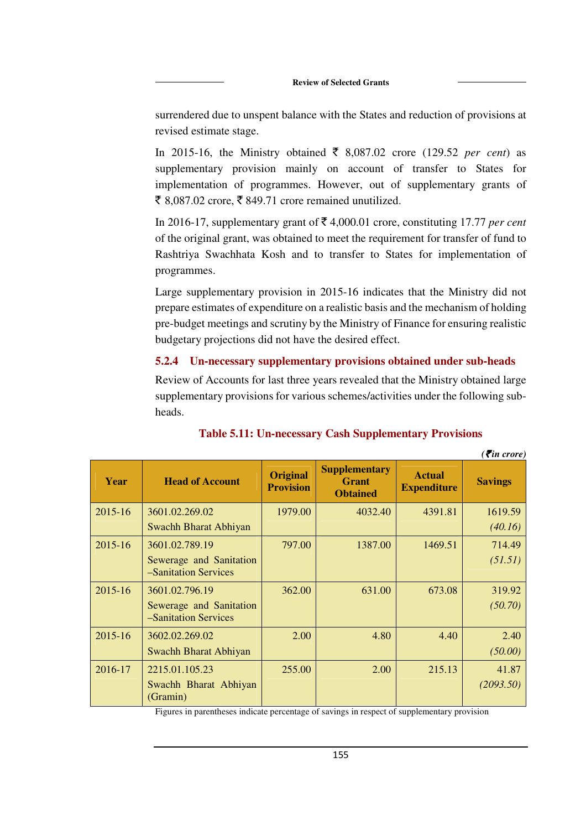surrendered due to unspent balance with the States and reduction of provisions at revised estimate stage.

In 2015-16, the Ministry obtained  $\bar{\xi}$  8,087.02 crore (129.52 *per cent*) as supplementary provision mainly on account of transfer to States for implementation of programmes. However, out of supplementary grants of ₹ 8,087.02 crore, ₹ 849.71 crore remained unutilized.

In 2016-17, supplementary grant of  $\bar{\tau}$  4,000.01 crore, constituting 17.77 *per cent* of the original grant, was obtained to meet the requirement for transfer of fund to Rashtriya Swachhata Kosh and to transfer to States for implementation of programmes.

Large supplementary provision in 2015-16 indicates that the Ministry did not prepare estimates of expenditure on a realistic basis and the mechanism of holding pre-budget meetings and scrutiny by the Ministry of Finance for ensuring realistic budgetary projections did not have the desired effect.

### **5.2.4 Un-necessary supplementary provisions obtained under sub-heads**

Review of Accounts for last three years revealed that the Ministry obtained large supplementary provisions for various schemes/activities under the following subheads.

|         |                                                 | $($ , $\cdots$ $\cdots$ $\cdots$ $\cdots$ |                                                         |                                     |                |
|---------|-------------------------------------------------|-------------------------------------------|---------------------------------------------------------|-------------------------------------|----------------|
| Year    | <b>Head of Account</b>                          | <b>Original</b><br><b>Provision</b>       | <b>Supplementary</b><br><b>Grant</b><br><b>Obtained</b> | <b>Actual</b><br><b>Expenditure</b> | <b>Savings</b> |
| 2015-16 | 3601.02.269.02                                  | 1979.00                                   | 4032.40                                                 | 4391.81                             | 1619.59        |
|         | Swachh Bharat Abhiyan                           |                                           |                                                         |                                     | (40.16)        |
| 2015-16 | 3601.02.789.19                                  | 797.00                                    | 1387.00                                                 | 1469.51                             | 714.49         |
|         | Sewerage and Sanitation<br>-Sanitation Services |                                           |                                                         |                                     | (51.51)        |
| 2015-16 | 3601.02.796.19                                  | 362.00                                    | 631.00                                                  | 673.08                              | 319.92         |
|         | Sewerage and Sanitation<br>-Sanitation Services |                                           |                                                         |                                     | (50.70)        |
| 2015-16 | 3602.02.269.02                                  | 2.00                                      | 4.80                                                    | 4.40                                | 2.40           |
|         | Swachh Bharat Abhiyan                           |                                           |                                                         |                                     | (50.00)        |
| 2016-17 | 2215.01.105.23                                  | 255.00                                    | 2.00                                                    | 215.13                              | 41.87          |
|         | Swachh Bharat Abhiyan<br>(Gramin)               |                                           |                                                         |                                     | (2093.50)      |

#### **Table 5.11: Un-necessary Cash Supplementary Provisions**

 $(\vec{F}$ *in crore*)

Figures in parentheses indicate percentage of savings in respect of supplementary provision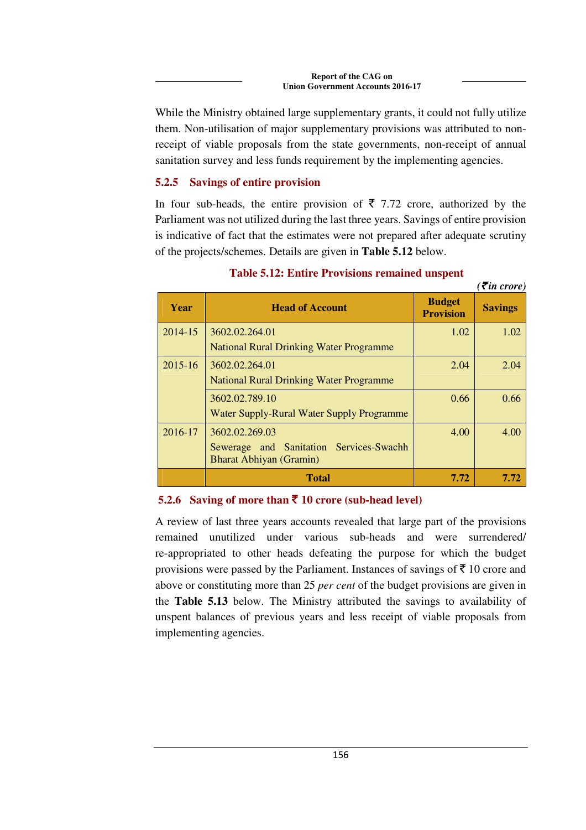While the Ministry obtained large supplementary grants, it could not fully utilize them. Non-utilisation of major supplementary provisions was attributed to nonreceipt of viable proposals from the state governments, non-receipt of annual sanitation survey and less funds requirement by the implementing agencies.

## **5.2.5 Savings of entire provision**

In four sub-heads, the entire provision of  $\bar{\tau}$  7.72 crore, authorized by the Parliament was not utilized during the last three years. Savings of entire provision is indicative of fact that the estimates were not prepared after adequate scrutiny of the projects/schemes. Details are given in **Table 5.12** below.

|         |                                                                                             |                                   | $( \bar{\mathbf{\mathcal{F}}}$ in crore) |
|---------|---------------------------------------------------------------------------------------------|-----------------------------------|------------------------------------------|
| Year    | <b>Head of Account</b>                                                                      | <b>Budget</b><br><b>Provision</b> | <b>Savings</b>                           |
| 2014-15 | 3602.02.264.01<br><b>National Rural Drinking Water Programme</b>                            | 1.02                              | 1.02                                     |
| 2015-16 | 3602.02.264.01<br><b>National Rural Drinking Water Programme</b>                            | 2.04                              | 2.04                                     |
|         | 3602.02.789.10<br>Water Supply-Rural Water Supply Programme                                 | 0.66                              | 0.66                                     |
| 2016-17 | 3602.02.269.03<br>Sewerage and Sanitation Services-Swachh<br><b>Bharat Abhiyan (Gramin)</b> | 4.00                              | 4.00                                     |
|         | <b>Total</b>                                                                                | 7.72                              | 7.72                                     |

### **Table 5.12: Entire Provisions remained unspent**

#### **5.2.6** Saving of more than ₹ 10 crore (sub-head level)

A review of last three years accounts revealed that large part of the provisions remained unutilized under various sub-heads and were surrendered/ re-appropriated to other heads defeating the purpose for which the budget provisions were passed by the Parliament. Instances of savings of  $\bar{\tau}$  10 crore and above or constituting more than 25 *per cent* of the budget provisions are given in the **Table 5.13** below. The Ministry attributed the savings to availability of unspent balances of previous years and less receipt of viable proposals from implementing agencies.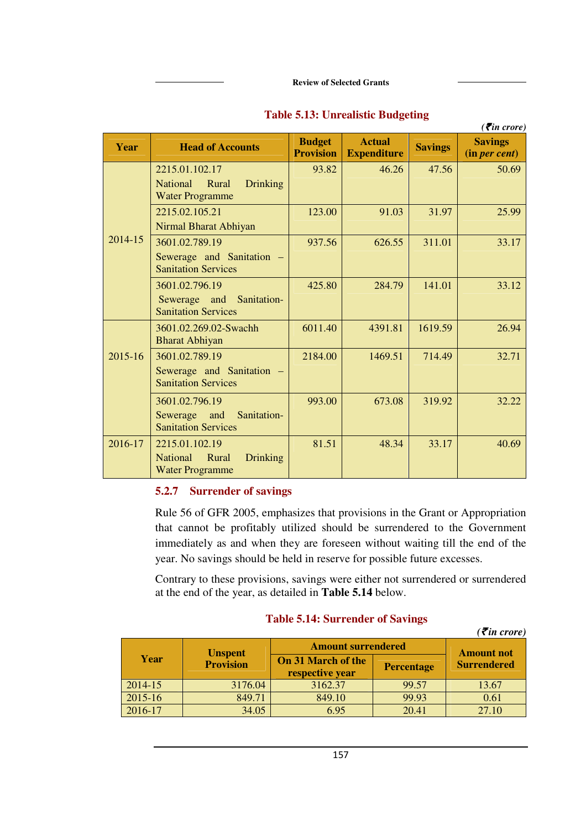|         |                                                                       |                                   |                                     |                | $( \bar{ \boldsymbol \epsilon }$ in crore) |
|---------|-----------------------------------------------------------------------|-----------------------------------|-------------------------------------|----------------|--------------------------------------------|
| Year    | <b>Head of Accounts</b>                                               | <b>Budget</b><br><b>Provision</b> | <b>Actual</b><br><b>Expenditure</b> | <b>Savings</b> | <b>Savings</b><br>(in per cent)            |
|         | 2215.01.102.17                                                        | 93.82                             | 46.26                               | 47.56          | 50.69                                      |
|         | <b>National</b><br><b>Drinking</b><br>Rural<br><b>Water Programme</b> |                                   |                                     |                |                                            |
|         | 2215.02.105.21                                                        | 123.00                            | 91.03                               | 31.97          | 25.99                                      |
|         | Nirmal Bharat Abhiyan                                                 |                                   |                                     |                |                                            |
| 2014-15 | 3601.02.789.19                                                        | 937.56                            | 626.55                              | 311.01         | 33.17                                      |
|         | Sewerage and Sanitation –<br><b>Sanitation Services</b>               |                                   |                                     |                |                                            |
|         | 3601.02.796.19                                                        | 425.80                            | 284.79                              | 141.01         | 33.12                                      |
|         | Sewerage and Sanitation-<br><b>Sanitation Services</b>                |                                   |                                     |                |                                            |
|         | 3601.02.269.02-Swachh<br><b>Bharat Abhiyan</b>                        | 6011.40                           | 4391.81                             | 1619.59        | 26.94                                      |
| 2015-16 | 3601.02.789.19                                                        | 2184.00                           | 1469.51                             | 714.49         | 32.71                                      |
|         | Sewerage and Sanitation -<br><b>Sanitation Services</b>               |                                   |                                     |                |                                            |
|         | 3601.02.796.19                                                        | 993.00                            | 673.08                              | 319.92         | 32.22                                      |
|         | Sewerage and<br>Sanitation-<br><b>Sanitation Services</b>             |                                   |                                     |                |                                            |
| 2016-17 | 2215.01.102.19                                                        | 81.51                             | 48.34                               | 33.17          | 40.69                                      |
|         | National Rural<br><b>Drinking</b><br><b>Water Programme</b>           |                                   |                                     |                |                                            |

### **Table 5.13: Unrealistic Budgeting**

#### **5.2.7 Surrender of savings**

Rule 56 of GFR 2005, emphasizes that provisions in the Grant or Appropriation that cannot be profitably utilized should be surrendered to the Government immediately as and when they are foreseen without waiting till the end of the year. No savings should be held in reserve for possible future excesses.

Contrary to these provisions, savings were either not surrendered or surrendered at the end of the year, as detailed in **Table 5.14** below.

#### **Table 5.14: Surrender of Savings**

|         |                  |                                       |                   | $( \bar{z}$ in crore) |  |
|---------|------------------|---------------------------------------|-------------------|-----------------------|--|
|         | <b>Unspent</b>   | <b>Amount surrendered</b>             | <b>Amount not</b> |                       |  |
| Year    | <b>Provision</b> | On 31 March of the<br>respective year | Percentage        | <b>Surrendered</b>    |  |
| 2014-15 | 3176.04          | 3162.37                               | 99.57             | 13.67                 |  |
| 2015-16 | 849.71           | 849.10                                | 99.93             | 0.61                  |  |
| 2016-17 | 34.05            | 6.95                                  | 20.41             | 27.10                 |  |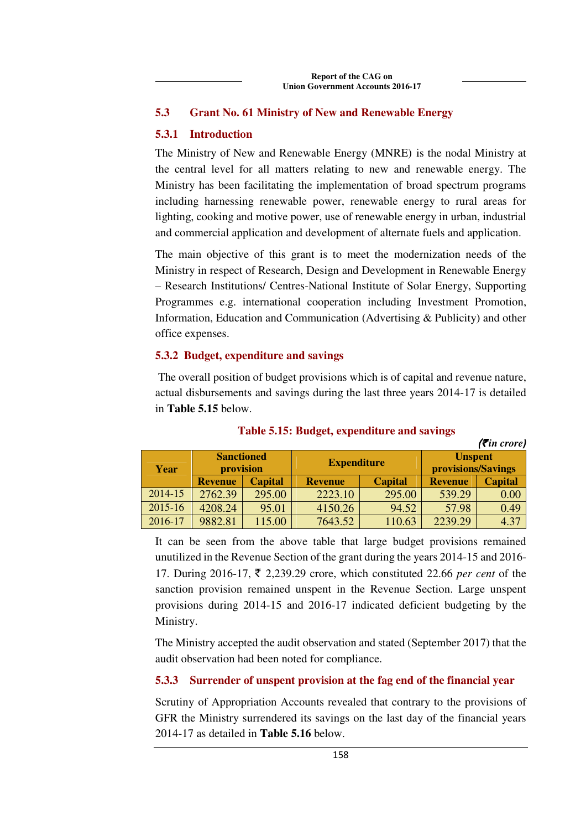### **5.3 Grant No. 61 Ministry of New and Renewable Energy**

### **5.3.1 Introduction**

The Ministry of New and Renewable Energy (MNRE) is the nodal Ministry at the central level for all matters relating to new and renewable energy. The Ministry has been facilitating the implementation of broad spectrum programs including harnessing renewable power, renewable energy to rural areas for lighting, cooking and motive power, use of renewable energy in urban, industrial and commercial application and development of alternate fuels and application.

The main objective of this grant is to meet the modernization needs of the Ministry in respect of Research, Design and Development in Renewable Energy – Research Institutions/ Centres-National Institute of Solar Energy, Supporting Programmes e.g. international cooperation including Investment Promotion, Information, Education and Communication (Advertising & Publicity) and other office expenses.

### **5.3.2 Budget, expenditure and savings**

 The overall position of budget provisions which is of capital and revenue nature, actual disbursements and savings during the last three years 2014-17 is detailed in **Table 5.15** below.

|         |                                |                |                    |                |                                      | $( \bar{\tau}$ in crore) |  |
|---------|--------------------------------|----------------|--------------------|----------------|--------------------------------------|--------------------------|--|
| Year    | <b>Sanctioned</b><br>provision |                | <b>Expenditure</b> |                | <b>Unspent</b><br>provisions/Savings |                          |  |
|         | <b>Revenue</b>                 | <b>Capital</b> | <b>Revenue</b>     | <b>Capital</b> | <b>Revenue</b>                       | <b>Capital</b>           |  |
| 2014-15 | 2762.39                        | 295.00         | 2223.10            | 295.00         | 539.29                               | 0.00                     |  |
| 2015-16 | 4208.24                        | 95.01          | 4150.26            | 94.52          | 57.98                                | 0.49                     |  |
| 2016-17 | 9882.81                        | 115.00         | 7643.52            | 110.63         | 2239.29                              | 4.37                     |  |

**Table 5.15: Budget, expenditure and savings** 

It can be seen from the above table that large budget provisions remained unutilized in the Revenue Section of the grant during the years 2014-15 and 2016- 17. During 2016-17, ` 2,239.29 crore, which constituted 22.66 *per cent* of the sanction provision remained unspent in the Revenue Section. Large unspent provisions during 2014-15 and 2016-17 indicated deficient budgeting by the Ministry.

The Ministry accepted the audit observation and stated (September 2017) that the audit observation had been noted for compliance.

## **5.3.3 Surrender of unspent provision at the fag end of the financial year**

Scrutiny of Appropriation Accounts revealed that contrary to the provisions of GFR the Ministry surrendered its savings on the last day of the financial years 2014-17 as detailed in **Table 5.16** below.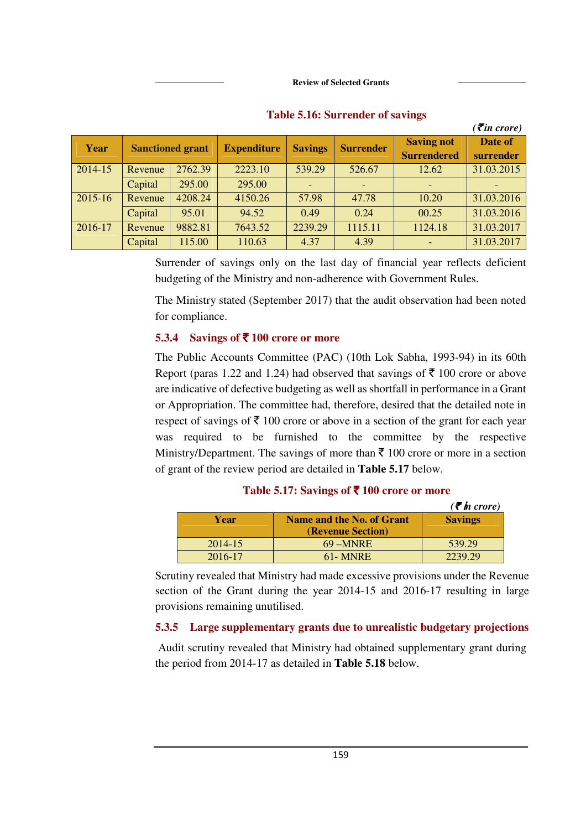**Review of Selected Grants**

|         |         |                         |                    |                |                  |                                         | $\mathcal{L}$ in croic) |
|---------|---------|-------------------------|--------------------|----------------|------------------|-----------------------------------------|-------------------------|
| Year    |         | <b>Sanctioned grant</b> | <b>Expenditure</b> | <b>Savings</b> | <b>Surrender</b> | <b>Saving not</b><br><b>Surrendered</b> | Date of<br>surrender    |
| 2014-15 | Revenue | 2762.39                 | 2223.10            | 539.29         | 526.67           | 12.62                                   | 31.03.2015              |
|         | Capital | 295.00                  | 295.00             |                |                  |                                         |                         |
| 2015-16 | Revenue | 4208.24                 | 4150.26            | 57.98          | 47.78            | 10.20                                   | 31.03.2016              |
|         | Capital | 95.01                   | 94.52              | 0.49           | 0.24             | 00.25                                   | 31.03.2016              |
| 2016-17 | Revenue | 9882.81                 | 7643.52            | 2239.29        | 1115.11          | 1124.18                                 | 31.03.2017              |
|         | Capital | 115.00                  | 110.63             | 4.37           | 4.39             |                                         | 31.03.2017              |

#### **Table 5.16: Surrender of savings**

*(*` *in crore)* 

Surrender of savings only on the last day of financial year reflects deficient budgeting of the Ministry and non-adherence with Government Rules.

The Ministry stated (September 2017) that the audit observation had been noted for compliance.

### **5.3.4 Savings of** ` **100 crore or more**

The Public Accounts Committee (PAC) (10th Lok Sabha, 1993-94) in its 60th Report (paras 1.22 and 1.24) had observed that savings of  $\bar{\tau}$  100 crore or above are indicative of defective budgeting as well as shortfall in performance in a Grant or Appropriation. The committee had, therefore, desired that the detailed note in respect of savings of  $\bar{\tau}$  100 crore or above in a section of the grant for each year was required to be furnished to the committee by the respective Ministry/Department. The savings of more than  $\bar{\tau}$  100 crore or more in a section of grant of the review period are detailed in **Table 5.17** below.

#### **Table 5.17: Savings of** ` **100 crore or more**

|         |                                                       | $(\bar{\bar{\mathbf{z}}}$ in crore) |
|---------|-------------------------------------------------------|-------------------------------------|
| Year    | Name and the No. of Grant<br><b>(Revenue Section)</b> | <b>Savings</b>                      |
| 2014-15 | $69 - \text{MNRE}$                                    | 539.29                              |
| 2016-17 | $61 -$ MNRE                                           | 2239.29                             |

Scrutiny revealed that Ministry had made excessive provisions under the Revenue section of the Grant during the year 2014-15 and 2016-17 resulting in large provisions remaining unutilised.

### **5.3.5 Large supplementary grants due to unrealistic budgetary projections**

 Audit scrutiny revealed that Ministry had obtained supplementary grant during the period from 2014-17 as detailed in **Table 5.18** below.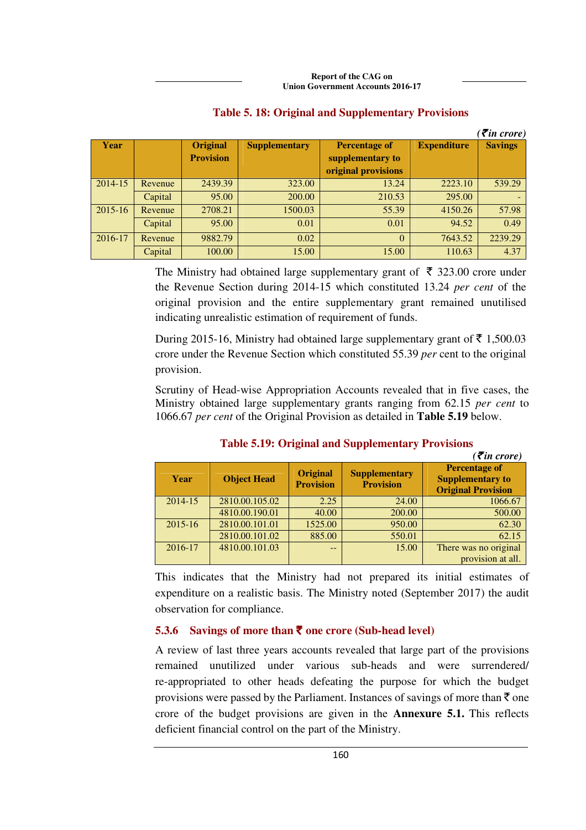|             |         |                  |                      |                      |                    | $\left( \mathbf{\bar{z}}$ in crore) |
|-------------|---------|------------------|----------------------|----------------------|--------------------|-------------------------------------|
| Year        |         | <b>Original</b>  | <b>Supplementary</b> | <b>Percentage of</b> | <b>Expenditure</b> | <b>Savings</b>                      |
|             |         | <b>Provision</b> |                      | supplementary to     |                    |                                     |
|             |         |                  |                      | original provisions  |                    |                                     |
| 2014-15     | Revenue | 2439.39          | 323.00               | 13.24                | 2223.10            | 539.29                              |
|             | Capital | 95.00            | 200.00               | 210.53               | 295.00             |                                     |
| $2015 - 16$ | Revenue | 2708.21          | 1500.03              | 55.39                | 4150.26            | 57.98                               |
|             | Capital | 95.00            | 0.01                 | 0.01                 | 94.52              | 0.49                                |
| 2016-17     | Revenue | 9882.79          | 0.02                 | $\Omega$             | 7643.52            | 2239.29                             |
|             | Capital | 100.00           | 15.00                | 15.00                | 110.63             | 4.37                                |

## **Table 5. 18: Original and Supplementary Provisions**

The Ministry had obtained large supplementary grant of  $\bar{\tau}$  323.00 crore under the Revenue Section during 2014-15 which constituted 13.24 *per cent* of the original provision and the entire supplementary grant remained unutilised indicating unrealistic estimation of requirement of funds.

During 2015-16, Ministry had obtained large supplementary grant of  $\bar{\tau}$  1,500.03 crore under the Revenue Section which constituted 55.39 *per* cent to the original provision.

Scrutiny of Head-wise Appropriation Accounts revealed that in five cases, the Ministry obtained large supplementary grants ranging from 62.15 *per cent* to 1066.67 *per cent* of the Original Provision as detailed in **Table 5.19** below.

|             |                    |                                     |                                          | $( \bar{\mathbf{\xi}}$ in crore)                                             |
|-------------|--------------------|-------------------------------------|------------------------------------------|------------------------------------------------------------------------------|
| Year        | <b>Object Head</b> | <b>Original</b><br><b>Provision</b> | <b>Supplementary</b><br><b>Provision</b> | <b>Percentage of</b><br><b>Supplementary to</b><br><b>Original Provision</b> |
| 2014-15     | 2810.00.105.02     | 2.25                                | 24.00                                    | 1066.67                                                                      |
|             | 4810.00.190.01     | 40.00                               | 200.00                                   | 500.00                                                                       |
| $2015 - 16$ | 2810.00.101.01     | 1525.00                             | 950.00                                   | 62.30                                                                        |
|             | 2810.00.101.02     | 885.00                              | 550.01                                   | 62.15                                                                        |
| 2016-17     | 4810.00.101.03     | $-$                                 | 15.00                                    | There was no original                                                        |
|             |                    |                                     |                                          | provision at all.                                                            |

**Table 5.19: Original and Supplementary Provisions** 

This indicates that the Ministry had not prepared its initial estimates of expenditure on a realistic basis. The Ministry noted (September 2017) the audit observation for compliance.

## **5.3.6** Savings of more than  $\bar{\mathbf{\tau}}$  one crore (Sub-head level)

A review of last three years accounts revealed that large part of the provisions remained unutilized under various sub-heads and were surrendered/ re-appropriated to other heads defeating the purpose for which the budget provisions were passed by the Parliament. Instances of savings of more than  $\bar{\tau}$  one crore of the budget provisions are given in the **Annexure 5.1.** This reflects deficient financial control on the part of the Ministry.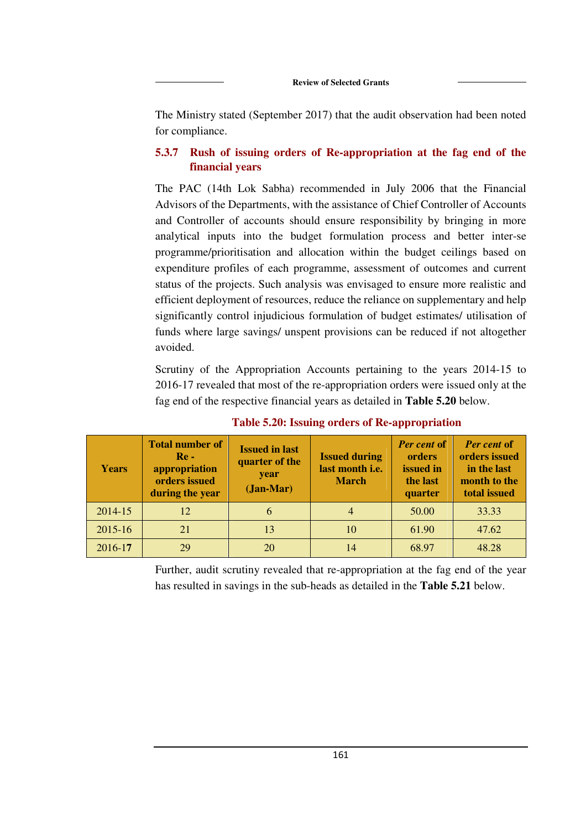The Ministry stated (September 2017) that the audit observation had been noted for compliance.

## **5.3.7 Rush of issuing orders of Re-appropriation at the fag end of the financial years**

The PAC (14th Lok Sabha) recommended in July 2006 that the Financial Advisors of the Departments, with the assistance of Chief Controller of Accounts and Controller of accounts should ensure responsibility by bringing in more analytical inputs into the budget formulation process and better inter-se programme/prioritisation and allocation within the budget ceilings based on expenditure profiles of each programme, assessment of outcomes and current status of the projects. Such analysis was envisaged to ensure more realistic and efficient deployment of resources, reduce the reliance on supplementary and help significantly control injudicious formulation of budget estimates/ utilisation of funds where large savings/ unspent provisions can be reduced if not altogether avoided.

Scrutiny of the Appropriation Accounts pertaining to the years 2014-15 to 2016-17 revealed that most of the re-appropriation orders were issued only at the fag end of the respective financial years as detailed in **Table 5.20** below.

| <b>Years</b> | <b>Total number of</b><br>$Re -$<br>appropriation<br>orders issued<br>during the year | <b>Issued in last</b><br>quarter of the<br>year<br>$(Jan-Mar)$ | <b>Issued during</b><br>last month i.e.<br><b>March</b> | <b>Per cent of</b><br>orders<br>issued in<br>the last<br>quarter | <i>Per cent</i> of<br>orders issued<br>in the last<br>month to the<br>total issued |
|--------------|---------------------------------------------------------------------------------------|----------------------------------------------------------------|---------------------------------------------------------|------------------------------------------------------------------|------------------------------------------------------------------------------------|
| 2014-15      | 12                                                                                    | 6                                                              |                                                         | 50.00                                                            | 33.33                                                                              |
| $2015 - 16$  | 21                                                                                    | 13                                                             | 10                                                      | 61.90                                                            | 47.62                                                                              |
| 2016-17      | 29                                                                                    | 20                                                             | 14                                                      | 68.97                                                            | 48.28                                                                              |

**Table 5.20: Issuing orders of Re-appropriation** 

Further, audit scrutiny revealed that re-appropriation at the fag end of the year has resulted in savings in the sub-heads as detailed in the **Table 5.21** below.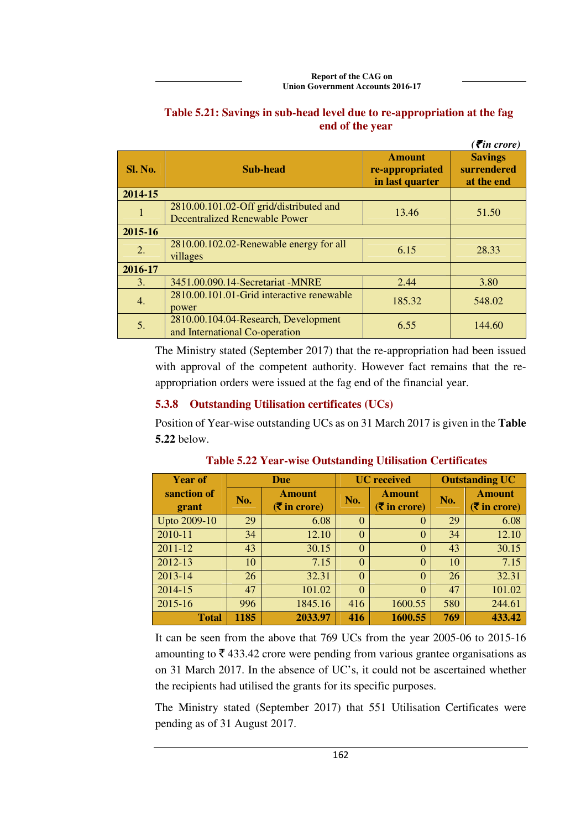|                |                                                                                 |                                                     | $( \bar{\mathbf{\xi}}$ in crore)            |
|----------------|---------------------------------------------------------------------------------|-----------------------------------------------------|---------------------------------------------|
| <b>Sl. No.</b> | Sub-head                                                                        | <b>Amount</b><br>re-appropriated<br>in last quarter | <b>Savings</b><br>surrendered<br>at the end |
| 2014-15        |                                                                                 |                                                     |                                             |
| 1              | 2810.00.101.02-Off grid/distributed and<br><b>Decentralized Renewable Power</b> | 13.46                                               | 51.50                                       |
| 2015-16        |                                                                                 |                                                     |                                             |
| 2.             | 2810.00.102.02-Renewable energy for all<br>villages                             | 6.15                                                | 28.33                                       |
| 2016-17        |                                                                                 |                                                     |                                             |
| 3.             | 3451.00.090.14-Secretariat -MNRE                                                | 2.44                                                | 3.80                                        |
| 4.             | 2810.00.101.01-Grid interactive renewable<br>power                              | 185.32                                              | 548.02                                      |
| 5.             | 2810.00.104.04-Research, Development<br>and International Co-operation          | 6.55                                                | 144.60                                      |

### **Table 5.21: Savings in sub-head level due to re-appropriation at the fag end of the year**

The Ministry stated (September 2017) that the re-appropriation had been issued with approval of the competent authority. However fact remains that the reappropriation orders were issued at the fag end of the financial year.

## **5.3.8 Outstanding Utilisation certificates (UCs)**

Position of Year-wise outstanding UCs as on 31 March 2017 is given in the **Table 5.22** below.

| <b>Year of</b>       | <b>Due</b><br><b>Amount</b><br>No.<br>$(5 \infty)$ in crore) |         |              | <b>UC</b> received            | <b>Outstanding UC</b> |                                         |
|----------------------|--------------------------------------------------------------|---------|--------------|-------------------------------|-----------------------|-----------------------------------------|
| sanction of<br>grant |                                                              |         | No.          | <b>Amount</b><br>$(5 \infty)$ | No.                   | <b>Amount</b><br>$(5 \infty)$ in crore) |
| Upto 2009-10         | 29                                                           | 6.08    | $\Omega$     | $\overline{0}$                | 29                    | 6.08                                    |
| 2010-11              | 34                                                           | 12.10   | $\Omega$     | $\Omega$                      | 34                    | 12.10                                   |
| 2011-12              | 43                                                           | 30.15   | $\mathbf{0}$ | $\theta$                      | 43                    | 30.15                                   |
| 2012-13              | 10                                                           | 7.15    | $\Omega$     | $\Omega$                      | 10                    | 7.15                                    |
| 2013-14              | 26                                                           | 32.31   | $\Omega$     | $\Omega$                      | 26                    | 32.31                                   |
| 2014-15              | 47                                                           | 101.02  | $\Omega$     | $\Omega$                      | 47                    | 101.02                                  |
| 2015-16              | 996                                                          | 1845.16 | 416          | 1600.55                       | 580                   | 244.61                                  |
| <b>Total</b>         | 1185                                                         | 2033.97 | 416          | 1600.55                       | 769                   | 433.42                                  |

**Table 5.22 Year-wise Outstanding Utilisation Certificates** 

It can be seen from the above that 769 UCs from the year 2005-06 to 2015-16 amounting to  $\bar{\tau}$  433.42 crore were pending from various grantee organisations as on 31 March 2017. In the absence of UC's, it could not be ascertained whether the recipients had utilised the grants for its specific purposes.

The Ministry stated (September 2017) that 551 Utilisation Certificates were pending as of 31 August 2017.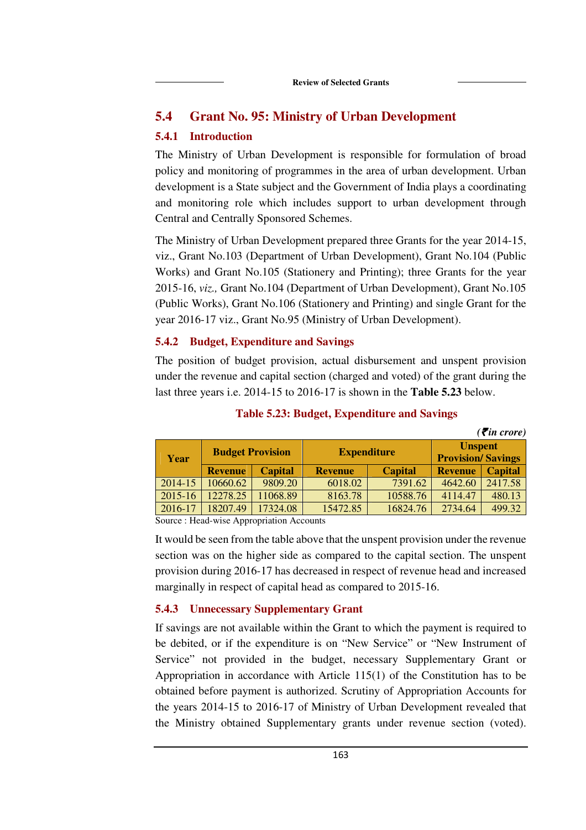## **5.4 Grant No. 95: Ministry of Urban Development**

#### **5.4.1 Introduction**

The Ministry of Urban Development is responsible for formulation of broad policy and monitoring of programmes in the area of urban development. Urban development is a State subject and the Government of India plays a coordinating and monitoring role which includes support to urban development through Central and Centrally Sponsored Schemes.

The Ministry of Urban Development prepared three Grants for the year 2014-15, viz., Grant No.103 (Department of Urban Development), Grant No.104 (Public Works) and Grant No.105 (Stationery and Printing); three Grants for the year 2015-16, *viz.,* Grant No.104 (Department of Urban Development), Grant No.105 (Public Works), Grant No.106 (Stationery and Printing) and single Grant for the year 2016-17 viz., Grant No.95 (Ministry of Urban Development).

#### **5.4.2 Budget, Expenditure and Savings**

The position of budget provision, actual disbursement and unspent provision under the revenue and capital section (charged and voted) of the grant during the last three years i.e. 2014-15 to 2016-17 is shown in the **Table 5.23** below.

|                                 |                |                |                |                                            | ( <i>\ \ \ \ \ \ \ \ \ \ \</i> |  |
|---------------------------------|----------------|----------------|----------------|--------------------------------------------|--------------------------------|--|
| <b>Budget Provision</b><br>Year |                |                |                | <b>Unspent</b><br><b>Provision/Savings</b> |                                |  |
| <b>Revenue</b>                  | <b>Capital</b> | <b>Revenue</b> | <b>Capital</b> | <b>Revenue</b>                             | <b>Capital</b>                 |  |
| 10660.62                        | 9809.20        | 6018.02        | 7391.62        | 4642.60                                    | 2417.58                        |  |
| 12278.25                        | 11068.89       | 8163.78        | 10588.76       | 4114.47                                    | 480.13                         |  |
| 18207.49                        | 17324.08       | 15472.85       | 16824.76       | 2734.64                                    | 499.32                         |  |
|                                 |                |                |                | <b>Expenditure</b>                         |                                |  |

#### **Table 5.23: Budget, Expenditure and Savings**

 $(\vec{F}$ *in crore*)

Source : Head-wise Appropriation Accounts

It would be seen from the table above that the unspent provision under the revenue section was on the higher side as compared to the capital section. The unspent provision during 2016-17 has decreased in respect of revenue head and increased marginally in respect of capital head as compared to 2015-16.

#### **5.4.3 Unnecessary Supplementary Grant**

If savings are not available within the Grant to which the payment is required to be debited, or if the expenditure is on "New Service" or "New Instrument of Service" not provided in the budget, necessary Supplementary Grant or Appropriation in accordance with Article 115(1) of the Constitution has to be obtained before payment is authorized. Scrutiny of Appropriation Accounts for the years 2014-15 to 2016-17 of Ministry of Urban Development revealed that the Ministry obtained Supplementary grants under revenue section (voted).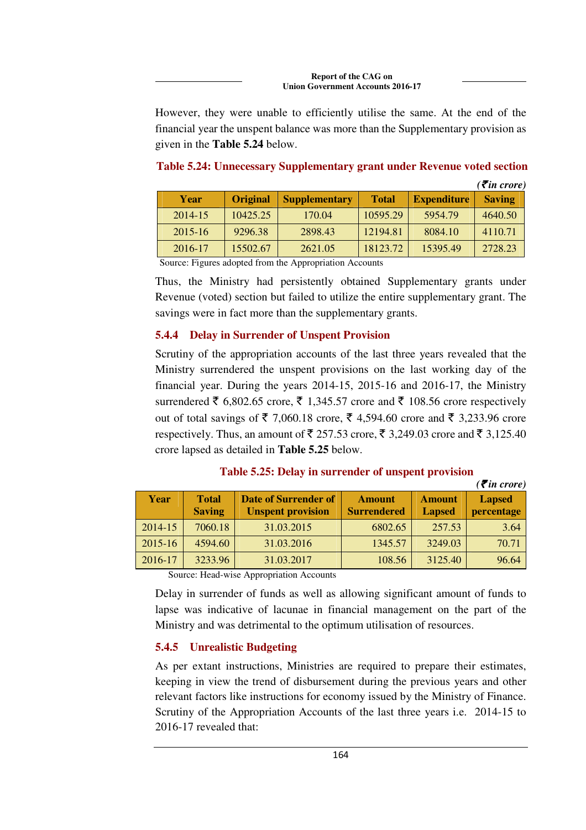#### **Report of the CAG on Union Government Accounts 2016-17**

However, they were unable to efficiently utilise the same. At the end of the financial year the unspent balance was more than the Supplementary provision as given in the **Table 5.24** below.

|             |                 |                      |              |                    | $( \bar{\mathbf{\mathcal{F}}}$ in crore) |
|-------------|-----------------|----------------------|--------------|--------------------|------------------------------------------|
| Year        | <b>Original</b> | <b>Supplementary</b> | <b>Total</b> | <b>Expenditure</b> | <b>Saving</b>                            |
| 2014-15     | 10425.25        | 170.04               | 10595.29     | 5954.79            | 4640.50                                  |
| $2015 - 16$ | 9296.38         | 2898.43              | 12194.81     | 8084.10            | 4110.71                                  |
| 2016-17     | 15502.67        | 2621.05              | 18123.72     | 15395.49           | 2728.23                                  |

## **Table 5.24: Unnecessary Supplementary grant under Revenue voted section**

Source: Figures adopted from the Appropriation Accounts

Thus, the Ministry had persistently obtained Supplementary grants under Revenue (voted) section but failed to utilize the entire supplementary grant. The savings were in fact more than the supplementary grants.

### **5.4.4 Delay in Surrender of Unspent Provision**

Scrutiny of the appropriation accounts of the last three years revealed that the Ministry surrendered the unspent provisions on the last working day of the financial year. During the years 2014-15, 2015-16 and 2016-17, the Ministry surrendered  $\bar{\xi}$  6,802.65 crore,  $\bar{\xi}$  1,345.57 crore and  $\bar{\xi}$  108.56 crore respectively out of total savings of  $\bar{\xi}$  7,060.18 crore,  $\bar{\xi}$  4,594.60 crore and  $\bar{\xi}$  3,233.96 crore respectively. Thus, an amount of  $\bar{\mathfrak{F}}$  257.53 crore,  $\bar{\mathfrak{F}}$  3,249.03 crore and  $\bar{\mathfrak{F}}$  3,125.40 crore lapsed as detailed in **Table 5.25** below.

### **Table 5.25: Delay in surrender of unspent provision**

|             |                               |                                                         |                                     |                                | $( \bar{\mathbf{\xi}}$ in crore) |
|-------------|-------------------------------|---------------------------------------------------------|-------------------------------------|--------------------------------|----------------------------------|
| Year        | <b>Total</b><br><b>Saving</b> | <b>Date of Surrender of</b><br><b>Unspent provision</b> | <b>Amount</b><br><b>Surrendered</b> | <b>Amount</b><br><b>Lapsed</b> | <b>Lapsed</b><br>percentage      |
| 2014-15     | 7060.18                       | 31.03.2015                                              | 6802.65                             | 257.53                         | 3.64                             |
| $2015 - 16$ | 4594.60                       | 31.03.2016                                              | 1345.57                             | 3249.03                        | 70.71                            |
| 2016-17     | 3233.96                       | 31.03.2017                                              | 108.56                              | 3125.40                        | 96.64                            |

Source: Head-wise Appropriation Accounts

Delay in surrender of funds as well as allowing significant amount of funds to lapse was indicative of lacunae in financial management on the part of the Ministry and was detrimental to the optimum utilisation of resources.

### **5.4.5 Unrealistic Budgeting**

As per extant instructions, Ministries are required to prepare their estimates, keeping in view the trend of disbursement during the previous years and other relevant factors like instructions for economy issued by the Ministry of Finance. Scrutiny of the Appropriation Accounts of the last three years i.e. 2014-15 to 2016-17 revealed that: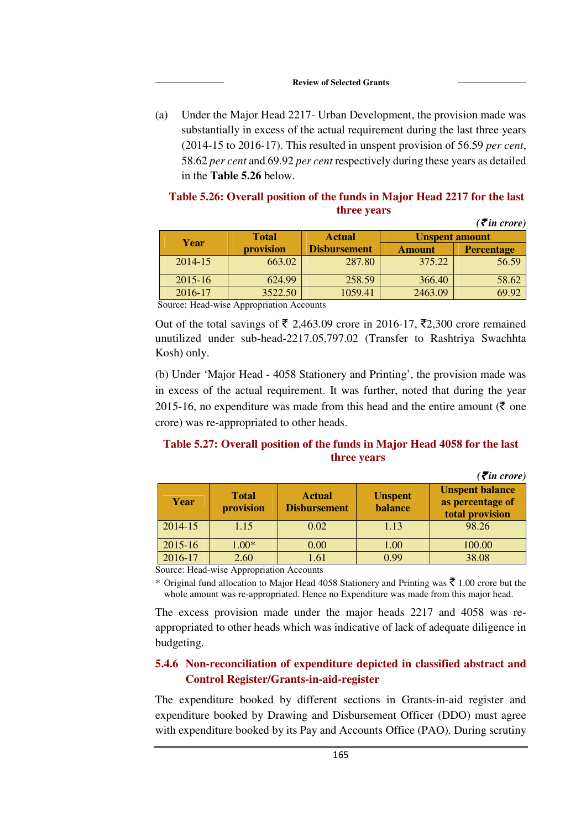(a) Under the Major Head 2217- Urban Development, the provision made was substantially in excess of the actual requirement during the last three years (2014-15 to 2016-17). This resulted in unspent provision of 56.59 *per cent*, 58.62 *per cent* and 69.92 *per cent* respectively during these years as detailed in the **Table 5.26** below.

| Table 5.26: Overall position of the funds in Major Head 2217 for the last |             |  |
|---------------------------------------------------------------------------|-------------|--|
|                                                                           | three vears |  |
|                                                                           |             |  |

|         |              |                     |                       | (Sin crore)       |
|---------|--------------|---------------------|-----------------------|-------------------|
|         | <b>Total</b> | <b>Actual</b>       | <b>Unspent amount</b> |                   |
| Year    | provision    | <b>Disbursement</b> | Amount                | <b>Percentage</b> |
| 2014-15 | 663.02       | 287.80              | 375.22                | 56.59             |
| 2015-16 | 624.99       | 258.59              | 366.40                | 58.62             |
| 2016-17 | 3522.50      | 1059.41             | 2463.09               | 69.92             |

Source: Head-wise Appropriation Accounts

Out of the total savings of  $\bar{\xi}$  2,463.09 crore in 2016-17,  $\bar{\xi}$ 2,300 crore remained unutilized under sub-head-2217.05.797.02 (Transfer to Rashtriya Swachhta Kosh) only.

(b) Under 'Major Head - 4058 Stationery and Printing', the provision made was in excess of the actual requirement. It was further, noted that during the year 2015-16, no expenditure was made from this head and the entire amount ( $\bar{\tau}$  one crore) was re-appropriated to other heads.

#### **Table 5.27: Overall position of the funds in Major Head 4058 for the last three years**

|         |                           |                                      |                                  | $( \bar{\mathbf{\mathcal{F}}}$ in crore)                      |
|---------|---------------------------|--------------------------------------|----------------------------------|---------------------------------------------------------------|
| Year    | <b>Total</b><br>provision | <b>Actual</b><br><b>Disbursement</b> | <b>Unspent</b><br><b>balance</b> | <b>Unspent balance</b><br>as percentage of<br>total provision |
| 2014-15 | 1.15                      | 0.02                                 | 1.13                             | 98.26                                                         |
| 2015-16 | $1.00*$                   | 0.00                                 | 1.00                             | 100.00                                                        |
| 2016-17 | 2.60                      | 1.61                                 | 0.99                             | 38.08                                                         |

Source: Head-wise Appropriation Accounts

\* Original fund allocation to Major Head 4058 Stationery and Printing was  $\bar{\mathcal{F}}$  1.00 crore but the whole amount was re-appropriated. Hence no Expenditure was made from this major head.

The excess provision made under the major heads 2217 and 4058 was reappropriated to other heads which was indicative of lack of adequate diligence in budgeting.

#### **5.4.6 Non-reconciliation of expenditure depicted in classified abstract and Control Register/Grants-in-aid-register**

The expenditure booked by different sections in Grants-in-aid register and expenditure booked by Drawing and Disbursement Officer (DDO) must agree with expenditure booked by its Pay and Accounts Office (PAO). During scrutiny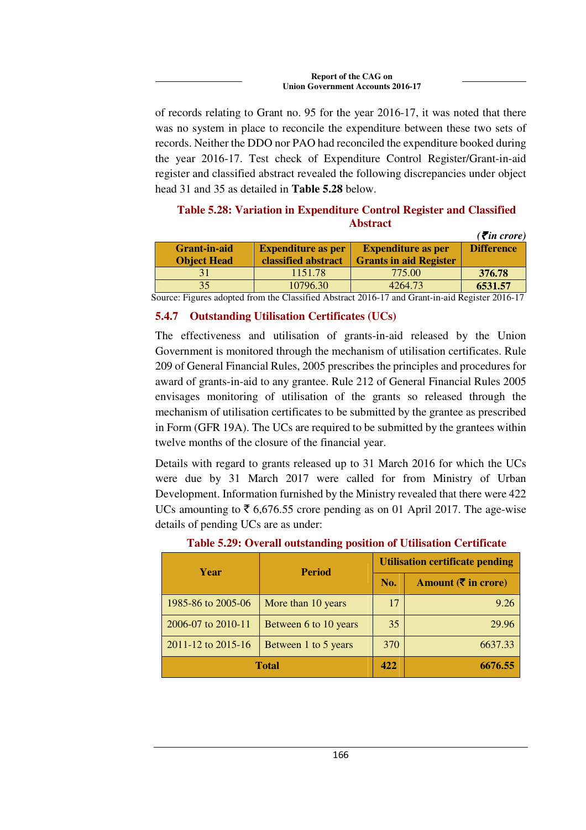of records relating to Grant no. 95 for the year 2016-17, it was noted that there was no system in place to reconcile the expenditure between these two sets of records. Neither the DDO nor PAO had reconciled the expenditure booked during the year 2016-17. Test check of Expenditure Control Register/Grant-in-aid register and classified abstract revealed the following discrepancies under object head 31 and 35 as detailed in **Table 5.28** below.

#### **Table 5.28: Variation in Expenditure Control Register and Classified Abstract**

|                     |                           |                               | $( \bar{\mathbf{z}}$ in crore) |
|---------------------|---------------------------|-------------------------------|--------------------------------|
| <b>Grant-in-aid</b> | <b>Expenditure as per</b> | <b>Expenditure as per</b>     | <b>Difference</b>              |
| <b>Object Head</b>  | classified abstract       | <b>Grants in aid Register</b> |                                |
|                     | 1151.78                   | 775.00                        | 376.78                         |
| 35                  | 10796.30                  | 4264.73                       | 6531.57                        |

Source: Figures adopted from the Classified Abstract 2016-17 and Grant-in-aid Register 2016-17

## **5.4.7 Outstanding Utilisation Certificates (UCs)**

The effectiveness and utilisation of grants-in-aid released by the Union Government is monitored through the mechanism of utilisation certificates. Rule 209 of General Financial Rules, 2005 prescribes the principles and procedures for award of grants-in-aid to any grantee. Rule 212 of General Financial Rules 2005 envisages monitoring of utilisation of the grants so released through the mechanism of utilisation certificates to be submitted by the grantee as prescribed in Form (GFR 19A). The UCs are required to be submitted by the grantees within twelve months of the closure of the financial year.

Details with regard to grants released up to 31 March 2016 for which the UCs were due by 31 March 2017 were called for from Ministry of Urban Development. Information furnished by the Ministry revealed that there were 422 UCs amounting to  $\bar{\mathfrak{c}}$  6,676.55 crore pending as on 01 April 2017. The age-wise details of pending UCs are as under:

| Year               | <b>Period</b>         | <b>Utilisation certificate pending</b> |                                                |
|--------------------|-----------------------|----------------------------------------|------------------------------------------------|
|                    |                       | No.                                    | Amount $(\bar{\bar{\mathbf{\zeta}}}$ in crore) |
| 1985-86 to 2005-06 | More than 10 years    | 17                                     | 9.26                                           |
| 2006-07 to 2010-11 | Between 6 to 10 years | 35                                     | 29.96                                          |
| 2011-12 to 2015-16 | Between 1 to 5 years  | 370                                    | 6637.33                                        |
| <b>Total</b>       |                       | 422                                    | 6676.55                                        |

**Table 5.29: Overall outstanding position of Utilisation Certificate**